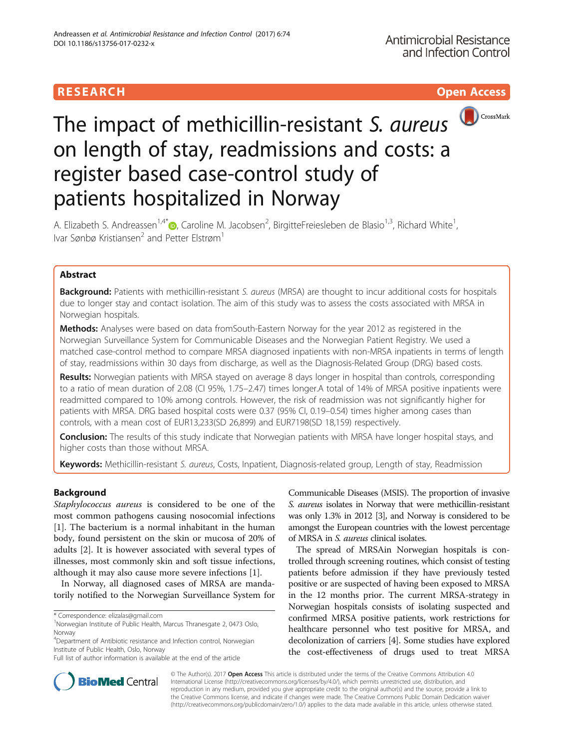

# The impact of methicillin-resistant S. aureus on length of stay, readmissions and costs: a register based case-control study of patients hospitalized in Norway

A. Elizabeth S. Andreassen<sup>1[,](http://orcid.org/0000-0001-8116-5461)4\*</sup>®, Caroline M. Jacobsen<sup>2</sup>, BirgitteFreiesleben de Blasio<sup>1,3</sup>, Richard White<sup>1</sup> , Ivar Sønbø Kristiansen<sup>2</sup> and Petter Elstrøm<sup>1</sup>

# Abstract

Background: Patients with methicillin-resistant S. aureus (MRSA) are thought to incur additional costs for hospitals due to longer stay and contact isolation. The aim of this study was to assess the costs associated with MRSA in Norwegian hospitals.

Methods: Analyses were based on data fromSouth-Eastern Norway for the year 2012 as registered in the Norwegian Surveillance System for Communicable Diseases and the Norwegian Patient Registry. We used a matched case-control method to compare MRSA diagnosed inpatients with non-MRSA inpatients in terms of length of stay, readmissions within 30 days from discharge, as well as the Diagnosis-Related Group (DRG) based costs.

Results: Norwegian patients with MRSA stayed on average 8 days longer in hospital than controls, corresponding to a ratio of mean duration of 2.08 (CI 95%, 1.75–2.47) times longer.A total of 14% of MRSA positive inpatients were readmitted compared to 10% among controls. However, the risk of readmission was not significantly higher for patients with MRSA. DRG based hospital costs were 0.37 (95% CI, 0.19–0.54) times higher among cases than controls, with a mean cost of EUR13,233(SD 26,899) and EUR7198(SD 18,159) respectively.

**Conclusion:** The results of this study indicate that Norwegian patients with MRSA have longer hospital stays, and higher costs than those without MRSA.

Keywords: Methicillin-resistant S. aureus, Costs, Inpatient, Diagnosis-related group, Length of stay, Readmission

# Background

Staphylococcus aureus is considered to be one of the most common pathogens causing nosocomial infections [[1\]](#page-6-0). The bacterium is a normal inhabitant in the human body, found persistent on the skin or mucosa of 20% of adults [\[2\]](#page-6-0). It is however associated with several types of illnesses, most commonly skin and soft tissue infections, although it may also cause more severe infections [[1](#page-6-0)].

In Norway, all diagnosed cases of MRSA are mandatorily notified to the Norwegian Surveillance System for

4 Department of Antibiotic resistance and Infection control, Norwegian Institute of Public Health, Oslo, Norway

Communicable Diseases (MSIS). The proportion of invasive S. aureus isolates in Norway that were methicillin-resistant was only 1.3% in 2012 [\[3](#page-6-0)], and Norway is considered to be amongst the European countries with the lowest percentage of MRSA in S. aureus clinical isolates.

The spread of MRSAin Norwegian hospitals is controlled through screening routines, which consist of testing patients before admission if they have previously tested positive or are suspected of having been exposed to MRSA in the 12 months prior. The current MRSA-strategy in Norwegian hospitals consists of isolating suspected and confirmed MRSA positive patients, work restrictions for healthcare personnel who test positive for MRSA, and decolonization of carriers [\[4](#page-6-0)]. Some studies have explored the cost-effectiveness of drugs used to treat MRSA



© The Author(s). 2017 **Open Access** This article is distributed under the terms of the Creative Commons Attribution 4.0 International License [\(http://creativecommons.org/licenses/by/4.0/](http://creativecommons.org/licenses/by/4.0/)), which permits unrestricted use, distribution, and reproduction in any medium, provided you give appropriate credit to the original author(s) and the source, provide a link to the Creative Commons license, and indicate if changes were made. The Creative Commons Public Domain Dedication waiver [\(http://creativecommons.org/publicdomain/zero/1.0/](http://creativecommons.org/publicdomain/zero/1.0/)) applies to the data made available in this article, unless otherwise stated.

<sup>\*</sup> Correspondence: [elizalas@gmail.com](mailto:elizalas@gmail.com) <sup>1</sup>

<sup>&</sup>lt;sup>1</sup>Norwegian Institute of Public Health, Marcus Thranesgate 2, 0473 Oslo, Norway

Full list of author information is available at the end of the article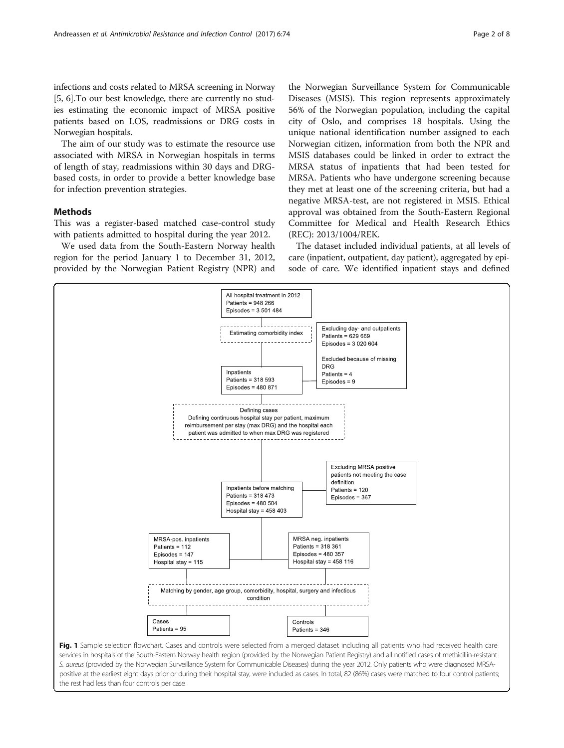<span id="page-1-0"></span>infections and costs related to MRSA screening in Norway [[5, 6\]](#page-6-0).To our best knowledge, there are currently no studies estimating the economic impact of MRSA positive patients based on LOS, readmissions or DRG costs in Norwegian hospitals.

The aim of our study was to estimate the resource use associated with MRSA in Norwegian hospitals in terms of length of stay, readmissions within 30 days and DRGbased costs, in order to provide a better knowledge base for infection prevention strategies.

## Methods

This was a register-based matched case-control study with patients admitted to hospital during the year 2012.

We used data from the South-Eastern Norway health region for the period January 1 to December 31, 2012, provided by the Norwegian Patient Registry (NPR) and

the Norwegian Surveillance System for Communicable Diseases (MSIS). This region represents approximately 56% of the Norwegian population, including the capital city of Oslo, and comprises 18 hospitals. Using the unique national identification number assigned to each Norwegian citizen, information from both the NPR and MSIS databases could be linked in order to extract the MRSA status of inpatients that had been tested for MRSA. Patients who have undergone screening because they met at least one of the screening criteria, but had a negative MRSA-test, are not registered in MSIS. Ethical approval was obtained from the South-Eastern Regional Committee for Medical and Health Research Ethics (REC): 2013/1004/REK.

The dataset included individual patients, at all levels of care (inpatient, outpatient, day patient), aggregated by episode of care. We identified inpatient stays and defined



S. aureus (provided by the Norwegian Surveillance System for Communicable Diseases) during the year 2012. Only patients who were diagnosed MRSApositive at the earliest eight days prior or during their hospital stay, were included as cases. In total, 82 (86%) cases were matched to four control patients; the rest had less than four controls per case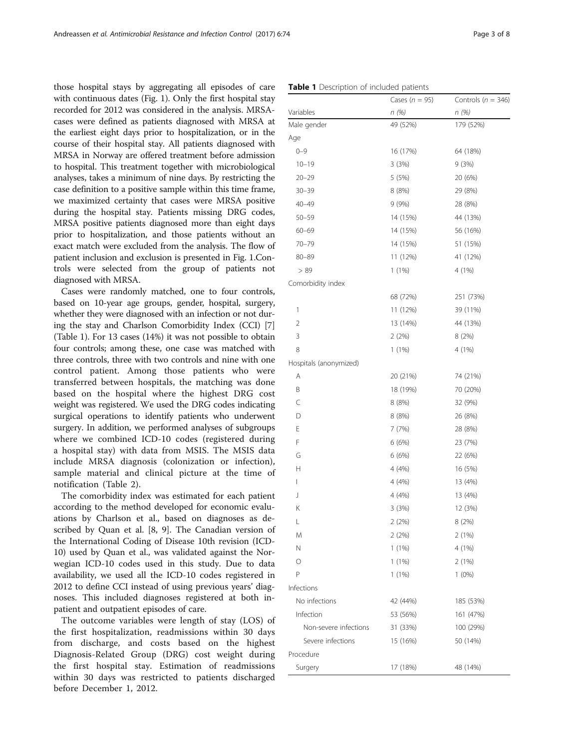<span id="page-2-0"></span>those hospital stays by aggregating all episodes of care with continuous dates (Fig. [1](#page-1-0)). Only the first hospital stay recorded for 2012 was considered in the analysis. MRSAcases were defined as patients diagnosed with MRSA at the earliest eight days prior to hospitalization, or in the course of their hospital stay. All patients diagnosed with MRSA in Norway are offered treatment before admission to hospital. This treatment together with microbiological analyses, takes a minimum of nine days. By restricting the case definition to a positive sample within this time frame, we maximized certainty that cases were MRSA positive during the hospital stay. Patients missing DRG codes, MRSA positive patients diagnosed more than eight days prior to hospitalization, and those patients without an exact match were excluded from the analysis. The flow of patient inclusion and exclusion is presented in Fig. [1](#page-1-0).Controls were selected from the group of patients not diagnosed with MRSA.

Cases were randomly matched, one to four controls, based on 10-year age groups, gender, hospital, surgery, whether they were diagnosed with an infection or not during the stay and Charlson Comorbidity Index (CCI) [[7](#page-7-0)] (Table 1). For 13 cases (14%) it was not possible to obtain four controls; among these, one case was matched with three controls, three with two controls and nine with one control patient. Among those patients who were transferred between hospitals, the matching was done based on the hospital where the highest DRG cost weight was registered. We used the DRG codes indicating surgical operations to identify patients who underwent surgery. In addition, we performed analyses of subgroups where we combined ICD-10 codes (registered during a hospital stay) with data from MSIS. The MSIS data include MRSA diagnosis (colonization or infection), sample material and clinical picture at the time of notification (Table [2](#page-3-0)).

The comorbidity index was estimated for each patient according to the method developed for economic evaluations by Charlson et al., based on diagnoses as described by Quan et al. [[8, 9\]](#page-7-0). The Canadian version of the International Coding of Disease 10th revision (ICD-10) used by Quan et al., was validated against the Norwegian ICD-10 codes used in this study. Due to data availability, we used all the ICD-10 codes registered in 2012 to define CCI instead of using previous years' diagnoses. This included diagnoses registered at both inpatient and outpatient episodes of care.

The outcome variables were length of stay (LOS) of the first hospitalization, readmissions within 30 days from discharge, and costs based on the highest Diagnosis-Related Group (DRG) cost weight during the first hospital stay. Estimation of readmissions within 30 days was restricted to patients discharged before December 1, 2012.

|                        | Cases ( $n = 95$ ) | Controls ( $n = 346$ ) |  |  |
|------------------------|--------------------|------------------------|--|--|
| Variables              | n(%)               | n(%)                   |  |  |
| Male gender            | 49 (52%)           | 179 (52%)              |  |  |
| Age                    |                    |                        |  |  |
| $0 - 9$                | 16 (17%)           | 64 (18%)               |  |  |
| $10 - 19$              | 3(3%)              | 9(3%)                  |  |  |
| $20 - 29$              | 5(5%)              | 20 (6%)                |  |  |
| $30 - 39$              | 8 (8%)             | 29 (8%)                |  |  |
| $40 - 49$              | 9(9%)              | 28 (8%)                |  |  |
| $50 - 59$              | 14 (15%)           | 44 (13%)               |  |  |
| $60 - 69$              | 14 (15%)           | 56 (16%)               |  |  |
| $70 - 79$              | 14 (15%)           | 51 (15%)               |  |  |
| $80 - 89$              | 11 (12%)           | 41 (12%)               |  |  |
| > 89                   | $1(1\%)$           | 4 (1%)                 |  |  |
| Comorbidity index      |                    |                        |  |  |
|                        | 68 (72%)           | 251 (73%)              |  |  |
| 1                      | 11 (12%)           | 39 (11%)               |  |  |
| 2                      | 13 (14%)           | 44 (13%)               |  |  |
| 3                      | 2 (2%)             | 8(2%)                  |  |  |
| 8                      | 1 (1%)             | 4 (1%)                 |  |  |
| Hospitals (anonymized) |                    |                        |  |  |
| Α                      | 20 (21%)           | 74 (21%)               |  |  |
| Β                      | 18 (19%)           | 70 (20%)               |  |  |
| C                      | 8(8%)              | 32 (9%)                |  |  |
| D                      | 8 (8%)             | 26 (8%)                |  |  |
| E                      | 7(7%)              | 28 (8%)                |  |  |
| F                      | 6 (6%)             | 23 (7%)                |  |  |
| G                      | 6(6%)              | 22 (6%)                |  |  |
| Н                      | 4(4%)              | 16 (5%)                |  |  |
| L                      | 4(4%)              | 13 (4%)                |  |  |
| J                      | 4(4%)              | 13 (4%)                |  |  |
| Κ                      | 3 (3%)             | 12 (3%)                |  |  |
| L                      | 2(2%)              | 8 (2%)                 |  |  |
| M                      | 2(2%)              | 2(1%)                  |  |  |
| N                      | 1(1%)              | 4 (1%)                 |  |  |
| О                      | 1(1%)              | 2 (1%)                 |  |  |
| P                      | $1(1\%)$           | $1(0\%)$               |  |  |
| Infections             |                    |                        |  |  |
| No infections          | 42 (44%)           | 185 (53%)              |  |  |
| Infection              | 53 (56%)           | 161 (47%)              |  |  |
| Non-severe infections  | 31 (33%)           | 100 (29%)              |  |  |
| Severe infections      | 15 (16%)           | 50 (14%)               |  |  |
| Procedure              |                    |                        |  |  |
| Surgery                | 17 (18%)           | 48 (14%)               |  |  |

Table 1 Description of included patients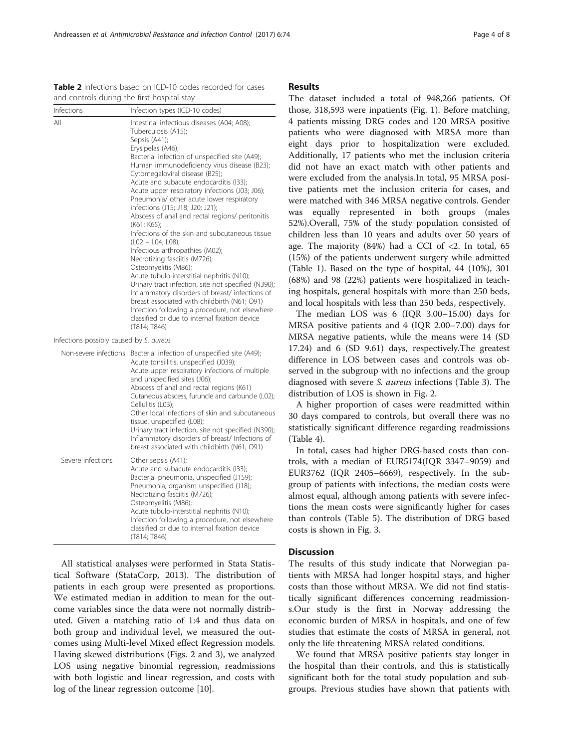Infections possibly caused by S. aureus

|                   | Non-severe infections Bacterial infection of unspecified site (A49);<br>Acute tonsillitis, unspecified (J039);<br>Acute upper respiratory infections of multiple<br>and unspecified sites (J06);<br>Abscess of anal and rectal regions (K61)<br>Cutaneous abscess, furuncle and carbuncle (L02);<br>Cellulitis (L03);<br>Other local infections of skin and subcutaneous<br>tissue, unspecified (L08);<br>Urinary tract infection, site not specified (N390);<br>Inflammatory disorders of breast/ Infections of<br>breast associated with childbirth (N61; O91) |
|-------------------|------------------------------------------------------------------------------------------------------------------------------------------------------------------------------------------------------------------------------------------------------------------------------------------------------------------------------------------------------------------------------------------------------------------------------------------------------------------------------------------------------------------------------------------------------------------|
| Severe infections | Other sepsis (A41);<br>Acute and subacute endocarditis (133);<br>Bacterial pneumonia, unspecified (J159);<br>Pneumonia, organism unspecified (J18);<br>Necrotizing fasciitis (M726);<br>Osteomyelitis (M86);<br>Acute tubulo-interstitial nephritis (N10);<br>Infection following a procedure, not elsewhere<br>classified or due to internal fixation device<br>(T814; T846)                                                                                                                                                                                    |

All statistical analyses were performed in Stata Statistical Software (StataCorp, 2013). The distribution of patients in each group were presented as proportions. We estimated median in addition to mean for the outcome variables since the data were not normally distributed. Given a matching ratio of 1:4 and thus data on both group and individual level, we measured the outcomes using Multi-level Mixed effect Regression models. Having skewed distributions (Figs. [2](#page-4-0) and [3](#page-4-0)), we analyzed LOS using negative binomial regression, readmissions with both logistic and linear regression, and costs with log of the linear regression outcome [[10\]](#page-7-0).

#### Results

The dataset included a total of 948,266 patients. Of those, 318,593 were inpatients (Fig. [1\)](#page-1-0). Before matching, 4 patients missing DRG codes and 120 MRSA positive patients who were diagnosed with MRSA more than eight days prior to hospitalization were excluded. Additionally, 17 patients who met the inclusion criteria did not have an exact match with other patients and were excluded from the analysis.In total, 95 MRSA positive patients met the inclusion criteria for cases, and were matched with 346 MRSA negative controls. Gender was equally represented in both groups (males 52%).Overall, 75% of the study population consisted of children less than 10 years and adults over 50 years of age. The majority  $(84%)$  had a CCI of <2. In total, 65 (15%) of the patients underwent surgery while admitted (Table [1](#page-2-0)). Based on the type of hospital, 44 (10%), 301 (68%) and 98 (22%) patients were hospitalized in teaching hospitals, general hospitals with more than 250 beds, and local hospitals with less than 250 beds, respectively.

The median LOS was 6 (IQR 3.00–15.00) days for MRSA positive patients and 4 (IQR 2.00–7.00) days for MRSA negative patients, while the means were 14 (SD 17.24) and 6 (SD 9.61) days, respectively.The greatest difference in LOS between cases and controls was observed in the subgroup with no infections and the group diagnosed with severe S. aureus infections (Table [3](#page-5-0)). The distribution of LOS is shown in Fig. [2](#page-4-0).

A higher proportion of cases were readmitted within 30 days compared to controls, but overall there was no statistically significant difference regarding readmissions (Table [4\)](#page-5-0).

In total, cases had higher DRG-based costs than controls, with a median of EUR5174(IQR 3347–9059) and EUR3762 (IQR 2405–6669), respectively. In the subgroup of patients with infections, the median costs were almost equal, although among patients with severe infections the mean costs were significantly higher for cases than controls (Table [5](#page-6-0)). The distribution of DRG based costs is shown in Fig. [3.](#page-4-0)

### **Discussion**

The results of this study indicate that Norwegian patients with MRSA had longer hospital stays, and higher costs than those without MRSA. We did not find statistically significant differences concerning readmissions.Our study is the first in Norway addressing the economic burden of MRSA in hospitals, and one of few studies that estimate the costs of MRSA in general, not only the life threatening MRSA related conditions.

We found that MRSA positive patients stay longer in the hospital than their controls, and this is statistically significant both for the total study population and subgroups. Previous studies have shown that patients with

Bacterial infection of unspecified site (A49); Human immunodeficiency virus disease (B23);

Abscess of anal and rectal regions/ peritonitis

Infections of the skin and subcutaneous tissue

Cytomegaloviral disease (B25); Acute and subacute endocarditis (I33); Acute upper respiratory infections (J03; J06); Pneumonia/ other acute lower respiratory

infections (J15; J18; J20; J21);

Infectious arthropathies (M02); Necrotizing fasciitis (M726); Osteomyelitis (M86);

Acute tubulo-interstitial nephritis (N10); Urinary tract infection, site not specified (N390); Inflammatory disorders of breast/ infections of breast associated with childbirth (N61; O91) Infection following a procedure, not elsewhere classified or due to internal fixation device

<span id="page-3-0"></span>Table 2 Infections based on ICD-10 codes recorded for cases

All Intestinal infectious diseases (A04; A08); Tuberculosis (A15); Sepsis (A41); Erysipelas (A46);

 $(K61: K65)$ 

(T814; T846)

(L02 – L04; L08);

and controls during the first hospital stay Infections Infection types (ICD-10 codes)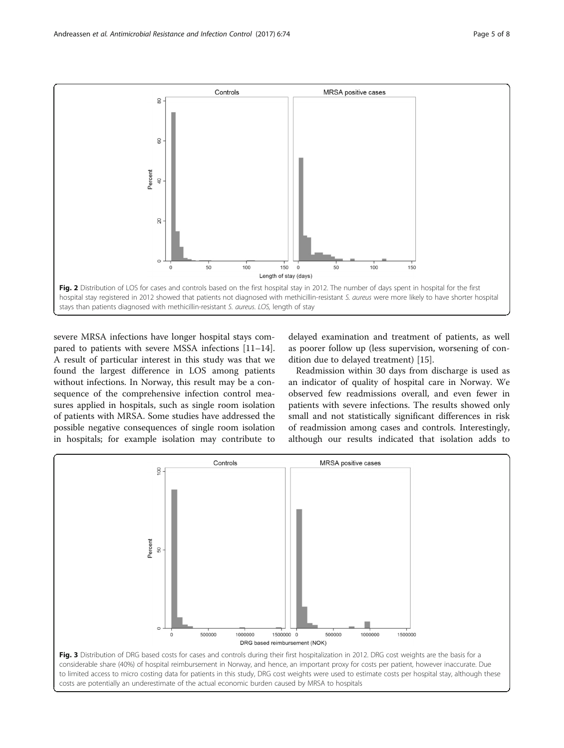<span id="page-4-0"></span>

severe MRSA infections have longer hospital stays compared to patients with severe MSSA infections [[11](#page-7-0)–[14](#page-7-0)]. A result of particular interest in this study was that we found the largest difference in LOS among patients without infections. In Norway, this result may be a consequence of the comprehensive infection control measures applied in hospitals, such as single room isolation of patients with MRSA. Some studies have addressed the possible negative consequences of single room isolation in hospitals; for example isolation may contribute to

delayed examination and treatment of patients, as well as poorer follow up (less supervision, worsening of condition due to delayed treatment) [[15](#page-7-0)].

Readmission within 30 days from discharge is used as an indicator of quality of hospital care in Norway. We observed few readmissions overall, and even fewer in patients with severe infections. The results showed only small and not statistically significant differences in risk of readmission among cases and controls. Interestingly, although our results indicated that isolation adds to

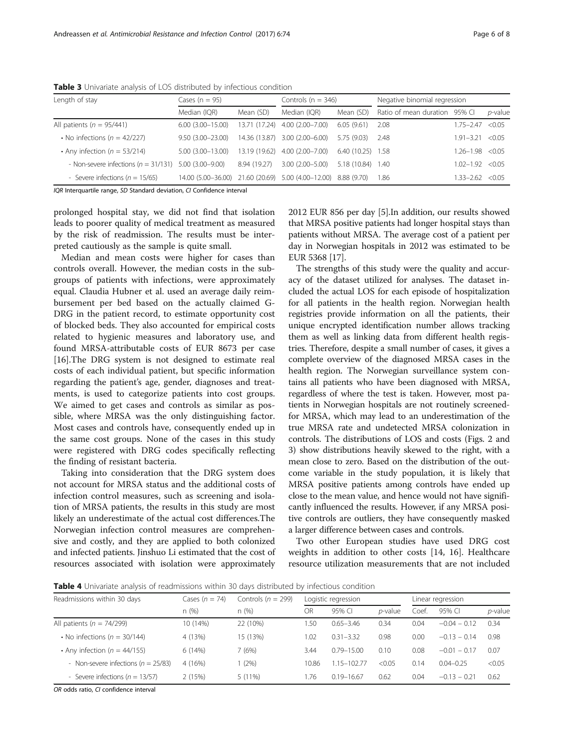| Length of stay                           | Cases $(n = 95)$                                               |               | Controls ( $n = 346$ ) |                    | Negative binomial regression  |                      |              |  |
|------------------------------------------|----------------------------------------------------------------|---------------|------------------------|--------------------|-------------------------------|----------------------|--------------|--|
|                                          | Median (IQR)                                                   | Mean (SD)     | Median (IOR)           | Mean (SD)          | Ratio of mean duration 95% CL |                      | p-value      |  |
| All patients ( $n = 95/441$ )            | $6.00(3.00 - 15.00)$                                           | 13.71 (17.24) | $4.00(2.00 - 7.00)$    | 6.05(9.61)         | 2.08                          | $1.75 - 2.47$        | < 0.05       |  |
| • No infections ( $n = 42/227$ )         | $9.50(3.00 - 23.00)$                                           | 14.36 (13.87) | $3.00(2.00 - 6.00)$    | 5.75(9.03)         | 2.48                          | 1.91-3.21            | < 0.05       |  |
| • Any infection ( $n = 53/214$ )         | $5.00(3.00 - 13.00)$                                           | 13.19 (19.62) | $4.00(2.00 - 7.00)$    | $6.40(10.25)$ 1.58 |                               | $1.26 - 1$           | $-98 < 0.05$ |  |
| - Non-severe infections ( $n = 31/131$ ) | $5.00(3.00 - 9.00)$                                            | 8.94 (19.27)  | $3.00(2.00 - 5.00)$    | 5.18 (10.84) 1.40  |                               | $1.02 - 1.92 < 0.05$ |              |  |
| - Severe infections ( $n = 15/65$ )      | 14.00 (5.00-36.00) 21.60 (20.69) 5.00 (4.00-12.00) 8.88 (9.70) |               |                        |                    | 1.86                          | $1.33 - 2.62 < 0.05$ |              |  |

<span id="page-5-0"></span>Table 3 Univariate analysis of LOS distributed by infectious condition

IQR Interquartile range, SD Standard deviation, CI Confidence interval

prolonged hospital stay, we did not find that isolation leads to poorer quality of medical treatment as measured by the risk of readmission. The results must be interpreted cautiously as the sample is quite small.

Median and mean costs were higher for cases than controls overall. However, the median costs in the subgroups of patients with infections, were approximately equal. Claudia Hubner et al. used an average daily reimbursement per bed based on the actually claimed G-DRG in the patient record, to estimate opportunity cost of blocked beds. They also accounted for empirical costs related to hygienic measures and laboratory use, and found MRSA-attributable costs of EUR 8673 per case [[16\]](#page-7-0).The DRG system is not designed to estimate real costs of each individual patient, but specific information regarding the patient's age, gender, diagnoses and treatments, is used to categorize patients into cost groups. We aimed to get cases and controls as similar as possible, where MRSA was the only distinguishing factor. Most cases and controls have, consequently ended up in the same cost groups. None of the cases in this study were registered with DRG codes specifically reflecting the finding of resistant bacteria.

Taking into consideration that the DRG system does not account for MRSA status and the additional costs of infection control measures, such as screening and isolation of MRSA patients, the results in this study are most likely an underestimate of the actual cost differences.The Norwegian infection control measures are comprehensive and costly, and they are applied to both colonized and infected patients. Jinshuo Li estimated that the cost of resources associated with isolation were approximately

2012 EUR 856 per day [\[5](#page-6-0)].In addition, our results showed that MRSA positive patients had longer hospital stays than patients without MRSA. The average cost of a patient per day in Norwegian hospitals in 2012 was estimated to be EUR 5368 [[17](#page-7-0)].

The strengths of this study were the quality and accuracy of the dataset utilized for analyses. The dataset included the actual LOS for each episode of hospitalization for all patients in the health region. Norwegian health registries provide information on all the patients, their unique encrypted identification number allows tracking them as well as linking data from different health registries. Therefore, despite a small number of cases, it gives a complete overview of the diagnosed MRSA cases in the health region. The Norwegian surveillance system contains all patients who have been diagnosed with MRSA, regardless of where the test is taken. However, most patients in Norwegian hospitals are not routinely screenedfor MRSA, which may lead to an underestimation of the true MRSA rate and undetected MRSA colonization in controls. The distributions of LOS and costs (Figs. [2](#page-4-0) and [3\)](#page-4-0) show distributions heavily skewed to the right, with a mean close to zero. Based on the distribution of the outcome variable in the study population, it is likely that MRSA positive patients among controls have ended up close to the mean value, and hence would not have significantly influenced the results. However, if any MRSA positive controls are outliers, they have consequently masked a larger difference between cases and controls.

Two other European studies have used DRG cost weights in addition to other costs [\[14, 16](#page-7-0)]. Healthcare resource utilization measurements that are not included

Table 4 Univariate analysis of readmissions within 30 days distributed by infectious condition

| Readmissions within 30 days             | Controls ( $n = 299$ )<br>Cases ( $n = 74$ ) |           |       | Logistic regression |                 |      | Linear regression |            |  |
|-----------------------------------------|----------------------------------------------|-----------|-------|---------------------|-----------------|------|-------------------|------------|--|
|                                         | n(%)                                         | n(%)      | OR    | 95% CI              | <i>p</i> -value | Coef | 95% CI            | $p$ -value |  |
| All patients ( $n = 74/299$ )           | 10 (14%)                                     | 22 (10%)  | 1.50  | $0.65 - 3.46$       | 0.34            | 0.04 | $-0.04 - 0.12$    | 0.34       |  |
| • No infections ( $n = 30/144$ )        | 4 (13%)                                      | 15 (13%)  | 1.02  | $0.31 - 3.32$       | 0.98            | 0.00 | $-0.13 - 0.14$    | 0.98       |  |
| • Any infection ( $n = 44/155$ )        | 6 (14%)                                      | 7 (6%)    | 3.44  | $0.79 - 15.00$      | 0.10            | 0.08 | $-0.01 - 0.17$    | 0.07       |  |
| - Non-severe infections ( $n = 25/83$ ) | 4 (16%)                                      | (2%)      | 10.86 | 1.15-102.77         | < 0.05          | 0.14 | $0.04 - 0.25$     | < 0.05     |  |
| - Severe infections ( $n = 13/57$ )     | 2(15%)                                       | $5(11\%)$ | 1.76  | $0.19 - 16.67$      | 0.62            | 0.04 | $-0.13 - 0.21$    | 0.62       |  |

OR odds ratio, CI confidence interval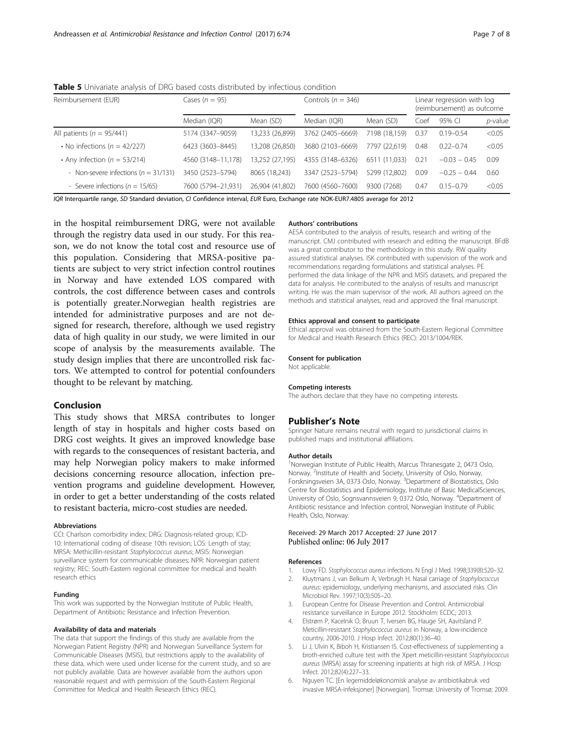<span id="page-6-0"></span>Table 5 Univariate analysis of DRG based costs distributed by infectious condition

| Reimbursement (EUR)                      | Cases $(n = 95)$   |                 | Controls ( $n = 346$ ) | Linear regression with log<br>(reimbursement) as outcome |      |                |                 |
|------------------------------------------|--------------------|-----------------|------------------------|----------------------------------------------------------|------|----------------|-----------------|
|                                          | Median (IQR)       | Mean (SD)       | Median (IQR)           | Mean (SD)                                                | Coef | 95% CI         | <i>p</i> -value |
| All patients ( $n = 95/441$ )            | 5174 (3347-9059)   | 13,233 (26,899) | 3762 (2405-6669)       | 7198 (18.159)                                            | 0.37 | $0.19 - 0.54$  | < 0.05          |
| • No infections ( $n = 42/227$ )         | 6423 (3603-8445)   | 13,208 (26,850) | 3680 (2103-6669)       | 7797 (22.619)                                            | 0.48 | $0.22 - 0.74$  | < 0.05          |
| • Any infection ( $n = 53/214$ )         | 4560 (3148-11,178) | 3,252 (27,195)  | 4355 (3148-6326)       | 6511 (11.033)                                            | 0.21 | $-0.03 - 0.45$ | 0.09            |
| - Non-severe infections ( $n = 31/131$ ) | 3450 (2523-5794)   | 8065 (18,243)   | 3347 (2523-5794)       | 5299 (12.802)                                            | 0.09 | $-0.25 - 0.44$ | 0.60            |
| - Severe infections ( $n = 15/65$ )      | 7600 (5794-21,931) | 26,904 (41,802) | 7600 (4560-7600)       | 9300 (7268)                                              | 0.47 | $0.15 - 0.79$  | < 0.05          |

IQR Interquartile range, SD Standard deviation, CI Confidence interval, EUR Euro, Exchange rate NOK-EUR7.4805 average for 2012

in the hospital reimbursement DRG, were not available through the registry data used in our study. For this reason, we do not know the total cost and resource use of this population. Considering that MRSA-positive patients are subject to very strict infection control routines in Norway and have extended LOS compared with controls, the cost difference between cases and controls is potentially greater.Norwegian health registries are intended for administrative purposes and are not designed for research, therefore, although we used registry data of high quality in our study, we were limited in our scope of analysis by the measurements available. The study design implies that there are uncontrolled risk factors. We attempted to control for potential confounders thought to be relevant by matching.

#### Conclusion

This study shows that MRSA contributes to longer length of stay in hospitals and higher costs based on DRG cost weights. It gives an improved knowledge base with regards to the consequences of resistant bacteria, and may help Norwegian policy makers to make informed decisions concerning resource allocation, infection prevention programs and guideline development. However, in order to get a better understanding of the costs related to resistant bacteria, micro-cost studies are needed.

#### Abbreviations

CCI: Charlson comorbidity index; DRG: Diagnosis-related group; ICD-10: International coding of disease 10th revision; LOS: Length of stay; MRSA: Methicillin-resistant Staphylococcus aureus; MSIS: Norwegian surveillance system for communicable diseases; NPR: Norwegian patient registry; REC: South-Eastern regional committee for medical and health research ethics

#### Funding

This work was supported by the Norwegian Institute of Public Health, Department of Antibiotic Resistance and Infection Prevention.

#### Availability of data and materials

The data that support the findings of this study are available from the Norwegian Patient Registry (NPR) and Norwegian Surveillance System for Communicable Diseases (MSIS), but restrictions apply to the availability of these data, which were used under license for the current study, and so are not publicly available. Data are however available from the authors upon reasonable request and with permission of the South-Eastern Regional Committee for Medical and Health Research Ethics (REC).

#### Authors' contributions

AESA contributed to the analysis of results, research and writing of the manuscript. CMJ contributed with research and editing the manuscript. BFdB was a great contributor to the methodology in this study. RW quality assured statistical analyses. ISK contributed with supervision of the work and recommendations regarding formulations and statistical analyses. PE performed the data linkage of the NPR and MSIS datasets, and prepared the data for analysis. He contributed to the analysis of results and manuscript writing. He was the main supervisor of the work. All authors agreed on the methods and statistical analyses, read and approved the final manuscript.

#### Ethics approval and consent to participate

Ethical approval was obtained from the South-Eastern Regional Committee for Medical and Health Research Ethics (REC): 2013/1004/REK.

#### Consent for publication

Not applicable.

#### Competing interests

The authors declare that they have no competing interests.

#### Publisher's Note

Springer Nature remains neutral with regard to jurisdictional claims in published maps and institutional affiliations.

#### Author details

<sup>1</sup>Norwegian Institute of Public Health, Marcus Thranesgate 2, 0473 Oslo, Norway.<sup>2</sup> Institute of Health and Society, University of Oslo, Norway, Forskningsveien 3A, 0373 Oslo, Norway. <sup>3</sup>Department of Biostatistics, Oslo Centre for Biostatistics and Epidemiology, Institute of Basic MedicalSciences, University of Oslo, Sognsvannsveien 9, 0372 Oslo, Norway. <sup>4</sup> Department of Antibiotic resistance and Infection control, Norwegian Institute of Public Health, Oslo, Norway.

# Received: 29 March 2017 Accepted: 27 June 2017<br>Published online: 06 July 2017

#### References

- 1. Lowy FD. Staphylococcus aureus infections. N Engl J Med. 1998;339(8):520–32. 2. Kluytmans J, van Belkum A, Verbrugh H. Nasal carriage of Staphylococcus
- aureus: epidemiology, underlying mechanisms, and associated risks. Clin Microbiol Rev. 1997;10(3):505–20. 3. European Centre for Disease Prevention and Control. Antimicrobial
- resistance surveillance in Europe 2012. Stockholm: ECDC; 2013.
- 4. Elstrøm P, Kacelnik O, Bruun T, Iversen BG, Hauge SH, Aavitsland P. Meticillin-resistant Staphylococcus aureus in Norway, a low-incidence country, 2006-2010. J Hosp Infect. 2012;80(1):36–40.
- 5. Li J, Ulvin K, Biboh H, Kristiansen IS. Cost-effectiveness of supplementing a broth-enriched culture test with the Xpert meticillin-resistant Staphylococcus aureus (MRSA) assay for screening inpatients at high risk of MRSA. J Hosp Infect. 2012;82(4):227–33.
- 6. Nguyen TC. [En legemiddeløkonomisk analyse av antibiotikabruk ved invasive MRSA-infeksjoner] [Norwegian]. Tromsø: University of Tromsø; 2009.